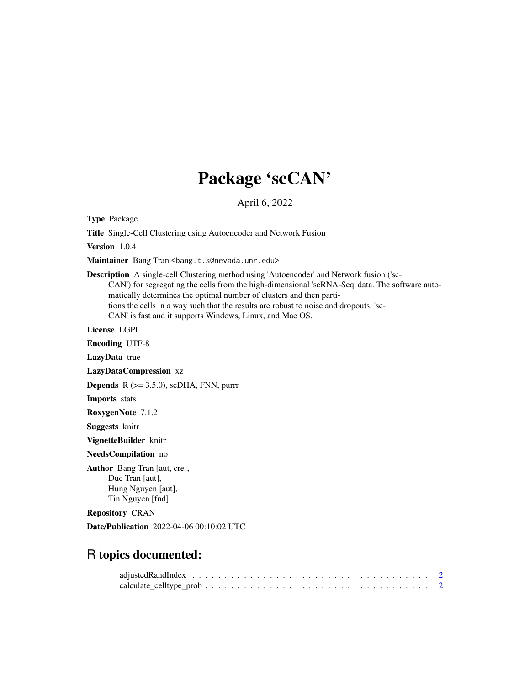## Package 'scCAN'

April 6, 2022

Type Package

Title Single-Cell Clustering using Autoencoder and Network Fusion

Version 1.0.4

Maintainer Bang Tran <br/>bang.t.s@nevada.unr.edu>

Description A single-cell Clustering method using 'Autoencoder' and Network fusion ('sc-CAN') for segregating the cells from the high-dimensional 'scRNA-Seq' data. The software automatically determines the optimal number of clusters and then partitions the cells in a way such that the results are robust to noise and dropouts. 'sc-CAN' is fast and it supports Windows, Linux, and Mac OS.

License LGPL

Encoding UTF-8

LazyData true

LazyDataCompression xz

**Depends** R  $(>= 3.5.0)$ , scDHA, FNN, purrr

Imports stats

RoxygenNote 7.1.2

Suggests knitr

VignetteBuilder knitr

NeedsCompilation no

Author Bang Tran [aut, cre], Duc Tran [aut], Hung Nguyen [aut], Tin Nguyen [fnd]

Repository CRAN

Date/Publication 2022-04-06 00:10:02 UTC

### R topics documented: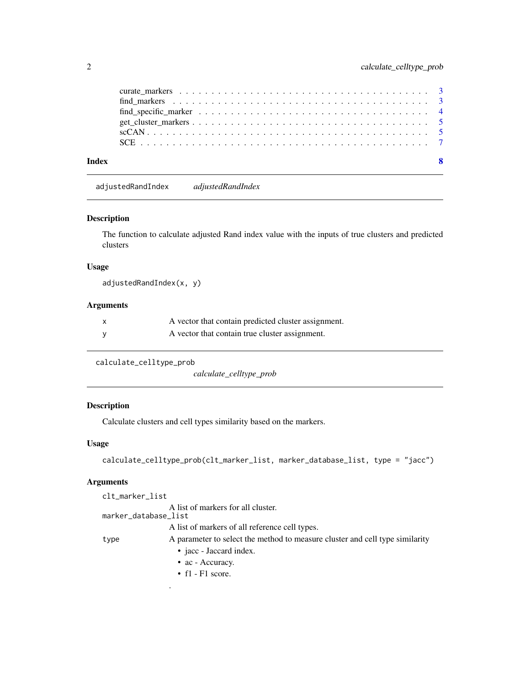<span id="page-1-0"></span>

| Index | -8 |
|-------|----|
|       |    |
|       |    |
|       |    |
|       |    |
|       |    |
|       |    |

adjustedRandIndex *adjustedRandIndex*

#### Description

The function to calculate adjusted Rand index value with the inputs of true clusters and predicted clusters

#### Usage

adjustedRandIndex(x, y)

#### Arguments

| A vector that contain predicted cluster assignment. |
|-----------------------------------------------------|
| A vector that contain true cluster assignment.      |

```
calculate_celltype_prob
```
*calculate\_celltype\_prob*

#### Description

Calculate clusters and cell types similarity based on the markers.

#### Usage

```
calculate_celltype_prob(clt_marker_list, marker_database_list, type = "jacc")
```
#### Arguments

| clt_marker_list      |                                                                              |
|----------------------|------------------------------------------------------------------------------|
| marker_database_list | A list of markers for all cluster.                                           |
|                      | A list of markers of all reference cell types.                               |
| type                 | A parameter to select the method to measure cluster and cell type similarity |
|                      | • jacc - Jaccard index.                                                      |
|                      | $\bullet$ ac - Accuracy.                                                     |
|                      | • $f1 - F1$ score.                                                           |
|                      |                                                                              |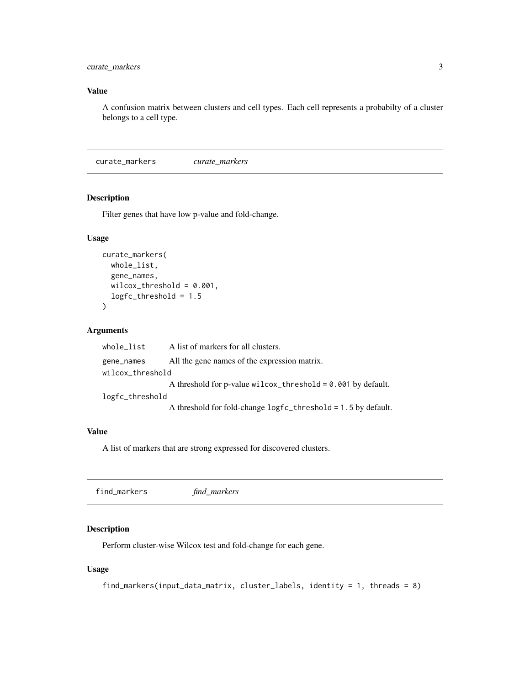#### <span id="page-2-0"></span>curate\_markers 3

#### Value

A confusion matrix between clusters and cell types. Each cell represents a probabilty of a cluster belongs to a cell type.

curate\_markers *curate\_markers*

#### Description

Filter genes that have low p-value and fold-change.

#### Usage

```
curate_markers(
 whole_list,
  gene_names,
 wilcox_threshold = 0.001,
  logfc_threshold = 1.5
)
```
#### Arguments

| whole_list       | A list of markers for all clusters.                            |
|------------------|----------------------------------------------------------------|
| gene_names       | All the gene names of the expression matrix.                   |
| wilcox_threshold |                                                                |
|                  | A threshold for p-value $wilcox_threshold = 0.001$ by default. |
| logfc_threshold  |                                                                |
|                  | A threshold for fold-change logfc_threshold = 1.5 by default.  |

#### Value

A list of markers that are strong expressed for discovered clusters.

find\_markers *find\_markers*

#### Description

Perform cluster-wise Wilcox test and fold-change for each gene.

#### Usage

```
find_markers(input_data_matrix, cluster_labels, identity = 1, threads = 8)
```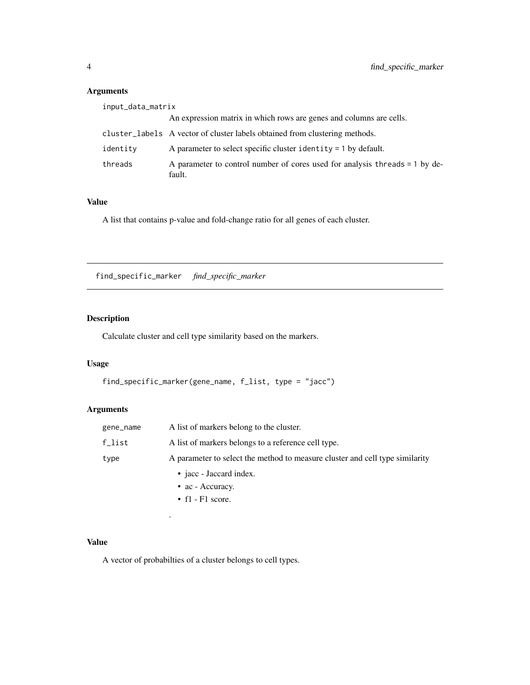#### <span id="page-3-0"></span>Arguments

| input_data_matrix |                                                                                       |
|-------------------|---------------------------------------------------------------------------------------|
|                   | An expression matrix in which rows are genes and columns are cells.                   |
|                   | cluster_labels A vector of cluster labels obtained from clustering methods.           |
| identity          | A parameter to select specific cluster identity $= 1$ by default.                     |
| threads           | A parameter to control number of cores used for analysis threads = 1 by de-<br>fault. |

#### Value

A list that contains p-value and fold-change ratio for all genes of each cluster.

find\_specific\_marker *find\_specific\_marker*

#### Description

Calculate cluster and cell type similarity based on the markers.

#### Usage

```
find_specific_marker(gene_name, f_list, type = "jacc")
```
#### Arguments

| gene_name | A list of markers belong to the cluster.                                     |
|-----------|------------------------------------------------------------------------------|
| $f$ _list | A list of markers belongs to a reference cell type.                          |
| type      | A parameter to select the method to measure cluster and cell type similarity |
|           | • jacc - Jaccard index.                                                      |
|           | $\bullet$ ac - Accuracy.                                                     |
|           | • $f1 - F1$ score.                                                           |

#### Value

A vector of probabilties of a cluster belongs to cell types.

.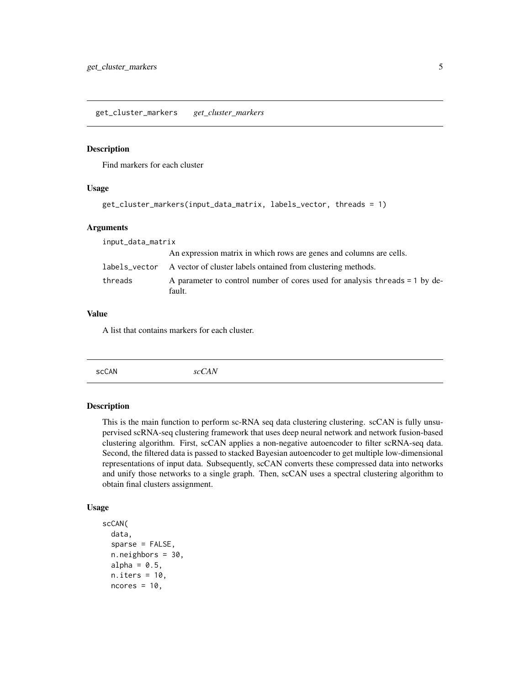#### <span id="page-4-0"></span>Description

Find markers for each cluster

#### Usage

```
get_cluster_markers(input_data_matrix, labels_vector, threads = 1)
```
#### Arguments

| input_data_matrix |                                                                                       |
|-------------------|---------------------------------------------------------------------------------------|
|                   | An expression matrix in which rows are genes and columns are cells.                   |
| labels vector     | A vector of cluster labels ontained from clustering methods.                          |
| threads           | A parameter to control number of cores used for analysis threads = 1 by de-<br>fault. |

#### Value

A list that contains markers for each cluster.

| scCAN<br>$\neg \Delta N$<br>$\circ \circ \mathcal{C}$ |  |  |  |  |
|-------------------------------------------------------|--|--|--|--|
|-------------------------------------------------------|--|--|--|--|

#### Description

This is the main function to perform sc-RNA seq data clustering clustering. scCAN is fully unsupervised scRNA-seq clustering framework that uses deep neural network and network fusion-based clustering algorithm. First, scCAN applies a non-negative autoencoder to filter scRNA-seq data. Second, the filtered data is passed to stacked Bayesian autoencoder to get multiple low-dimensional representations of input data. Subsequently, scCAN converts these compressed data into networks and unify those networks to a single graph. Then, scCAN uses a spectral clustering algorithm to obtain final clusters assignment.

#### Usage

```
scCAN(
  data,
  sparse = FALSE,
  n.neighbors = 30,
  alpha = 0.5,
  n.iters = 10,
 ncores = 10,
```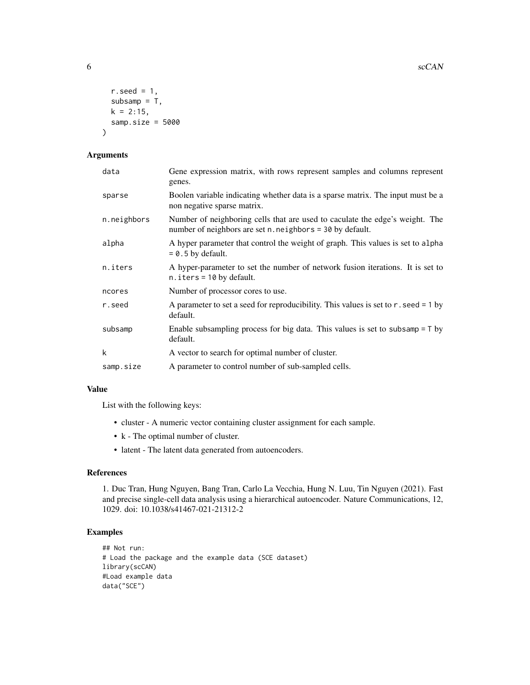```
r.seed = 1,
  subsamp = T,
 k = 2:15,
  samp.size = 5000
\lambda
```
#### Arguments

| Gene expression matrix, with rows represent samples and columns represent<br>genes.                                                       |
|-------------------------------------------------------------------------------------------------------------------------------------------|
| Boolen variable indicating whether data is a sparse matrix. The input must be a<br>non negative sparse matrix.                            |
| Number of neighboring cells that are used to caculate the edge's weight. The<br>number of neighbors are set n. neighbors = 30 by default. |
| A hyper parameter that control the weight of graph. This values is set to alpha<br>$= 0.5$ by default.                                    |
| A hyper-parameter to set the number of network fusion iterations. It is set to<br>$n.$ iters = 10 by default.                             |
| Number of processor cores to use.                                                                                                         |
| A parameter to set a seed for reproducibility. This values is set to r. seed = 1 by<br>default.                                           |
| Enable subsampling process for big data. This values is set to subsamp $= 7$ by<br>default.                                               |
| A vector to search for optimal number of cluster.                                                                                         |
| A parameter to control number of sub-sampled cells.                                                                                       |
|                                                                                                                                           |

#### Value

List with the following keys:

- cluster A numeric vector containing cluster assignment for each sample.
- k The optimal number of cluster.
- latent The latent data generated from autoencoders.

#### References

1. Duc Tran, Hung Nguyen, Bang Tran, Carlo La Vecchia, Hung N. Luu, Tin Nguyen (2021). Fast and precise single-cell data analysis using a hierarchical autoencoder. Nature Communications, 12, 1029. doi: 10.1038/s41467-021-21312-2

#### Examples

```
## Not run:
# Load the package and the example data (SCE dataset)
library(scCAN)
#Load example data
data("SCE")
```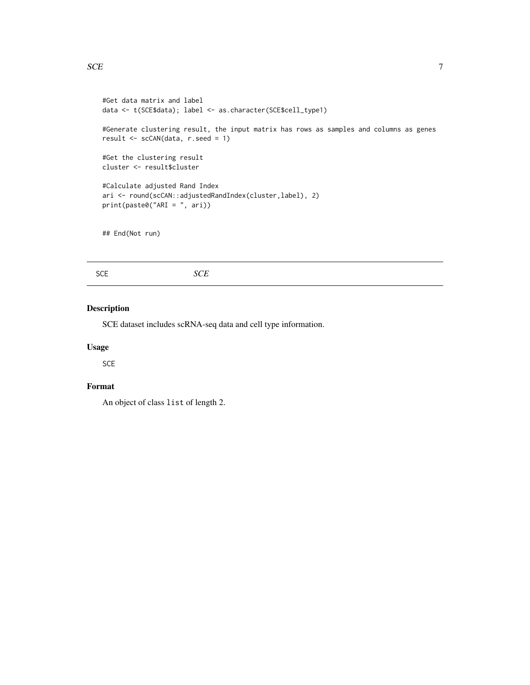```
#Get data matrix and label
data <- t(SCE$data); label <- as.character(SCE$cell_type1)
#Generate clustering result, the input matrix has rows as samples and columns as genes
result <- scCAN(data, r.seed = 1)
#Get the clustering result
cluster <- result$cluster
#Calculate adjusted Rand Index
ari <- round(scCAN::adjustedRandIndex(cluster,label), 2)
print(paste0("ARI = ", ari))
## End(Not run)
```

| SCE | SCE |
|-----|-----|
|     |     |

#### Description

SCE dataset includes scRNA-seq data and cell type information.

#### Usage

SCE

#### Format

An object of class list of length 2.